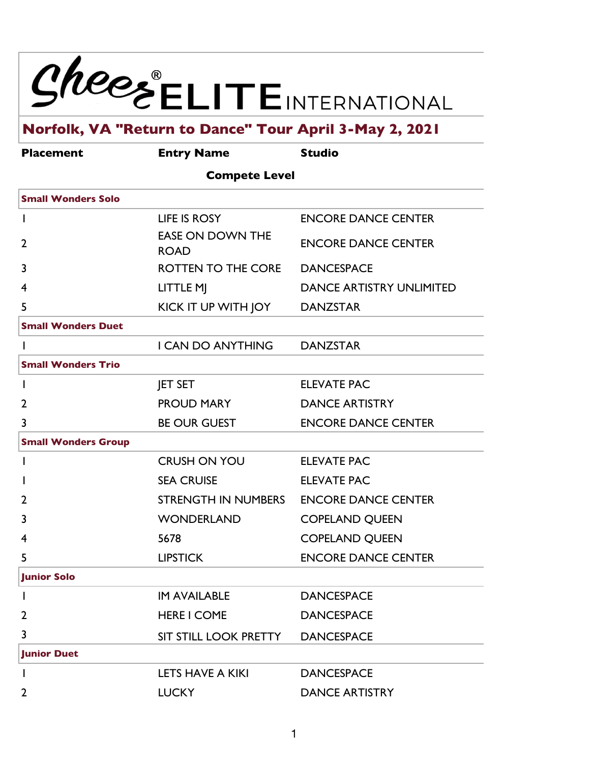

# **Norfolk, VA "Return to Dance" Tour April 3-May 2, 2021**

| <b>Placement</b>           | <b>Entry Name</b>                      | <b>Studio</b>                   |
|----------------------------|----------------------------------------|---------------------------------|
|                            | <b>Compete Level</b>                   |                                 |
| <b>Small Wonders Solo</b>  |                                        |                                 |
|                            | LIFE IS ROSY                           | <b>ENCORE DANCE CENTER</b>      |
| $\overline{2}$             | <b>EASE ON DOWN THE</b><br><b>ROAD</b> | <b>ENCORE DANCE CENTER</b>      |
| 3                          | ROTTEN TO THE CORE                     | <b>DANCESPACE</b>               |
| 4                          | LITTLE MJ                              | <b>DANCE ARTISTRY UNLIMITED</b> |
| 5                          | KICK IT UP WITH JOY                    | <b>DANZSTAR</b>                 |
| <b>Small Wonders Duet</b>  |                                        |                                 |
|                            | <b>I CAN DO ANYTHING</b>               | <b>DANZSTAR</b>                 |
| <b>Small Wonders Trio</b>  |                                        |                                 |
| L                          | <b>JET SET</b>                         | <b>ELEVATE PAC</b>              |
| 2                          | <b>PROUD MARY</b>                      | <b>DANCE ARTISTRY</b>           |
| 3                          | <b>BE OUR GUEST</b>                    | <b>ENCORE DANCE CENTER</b>      |
| <b>Small Wonders Group</b> |                                        |                                 |
|                            | <b>CRUSH ON YOU</b>                    | <b>ELEVATE PAC</b>              |
|                            | <b>SEA CRUISE</b>                      | <b>ELEVATE PAC</b>              |
| 2                          | STRENGTH IN NUMBERS                    | <b>ENCORE DANCE CENTER</b>      |
| 3                          | <b>WONDERLAND</b>                      | <b>COPELAND QUEEN</b>           |
| 4                          | 5678                                   | <b>COPELAND QUEEN</b>           |
| 5                          | <b>LIPSTICK</b>                        | <b>ENCORE DANCE CENTER</b>      |
| <b>Junior Solo</b>         |                                        |                                 |
|                            | <b>IM AVAILABLE</b>                    | <b>DANCESPACE</b>               |
| $\overline{2}$             | <b>HERE I COME</b>                     | <b>DANCESPACE</b>               |
| 3                          | SIT STILL LOOK PRETTY                  | <b>DANCESPACE</b>               |
| <b>Junior Duet</b>         |                                        |                                 |
|                            | LETS HAVE A KIKI                       | <b>DANCESPACE</b>               |
| 2                          | <b>LUCKY</b>                           | <b>DANCE ARTISTRY</b>           |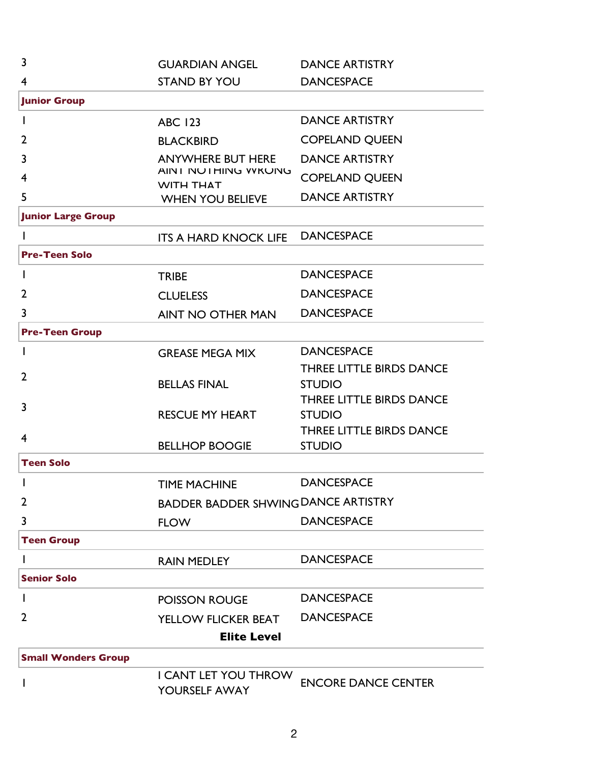| $\overline{3}$             | <b>GUARDIAN ANGEL</b>                         | <b>DANCE ARTISTRY</b>                     |
|----------------------------|-----------------------------------------------|-------------------------------------------|
| $\overline{4}$             | <b>STAND BY YOU</b>                           | <b>DANCESPACE</b>                         |
| <b>Junior Group</b>        |                                               |                                           |
| J.                         | <b>ABC 123</b>                                | <b>DANCE ARTISTRY</b>                     |
| $\overline{2}$             | <b>BLACKBIRD</b>                              | <b>COPELAND QUEEN</b>                     |
| 3                          | <b>ANYWHERE BUT HERE</b>                      | <b>DANCE ARTISTRY</b>                     |
| $\overline{4}$             | <b>AINT NOTHING WKONG</b><br><b>WITH THAT</b> | <b>COPELAND QUEEN</b>                     |
| 5                          | <b>WHEN YOU BELIEVE</b>                       | <b>DANCE ARTISTRY</b>                     |
| <b>Junior Large Group</b>  |                                               |                                           |
|                            | <b>ITS A HARD KNOCK LIFE</b>                  | <b>DANCESPACE</b>                         |
| <b>Pre-Teen Solo</b>       |                                               |                                           |
| $\mathbf{I}$               | <b>TRIBE</b>                                  | <b>DANCESPACE</b>                         |
| $\overline{2}$             | <b>CLUELESS</b>                               | <b>DANCESPACE</b>                         |
| 3                          | <b>AINT NO OTHER MAN</b>                      | <b>DANCESPACE</b>                         |
| <b>Pre-Teen Group</b>      |                                               |                                           |
| <sup>1</sup>               | <b>GREASE MEGA MIX</b>                        | <b>DANCESPACE</b>                         |
| $\overline{2}$             |                                               | <b>THREE LITTLE BIRDS DANCE</b>           |
|                            | <b>BELLAS FINAL</b>                           | <b>STUDIO</b>                             |
| 3                          | <b>RESCUE MY HEART</b>                        | THREE LITTLE BIRDS DANCE<br><b>STUDIO</b> |
|                            |                                               | THREE LITTLE BIRDS DANCE                  |
| $\overline{4}$             | <b>BELLHOP BOOGIE</b>                         | <b>STUDIO</b>                             |
| <b>Teen Solo</b>           |                                               |                                           |
| I                          | <b>TIME MACHINE</b>                           | <b>DANCESPACE</b>                         |
| $\overline{2}$             | <b>BADDER BADDER SHWING DANCE ARTISTRY</b>    |                                           |
| 3                          | <b>FLOW</b>                                   | <b>DANCESPACE</b>                         |
| <b>Teen Group</b>          |                                               |                                           |
| I                          | <b>RAIN MEDLEY</b>                            | <b>DANCESPACE</b>                         |
| <b>Senior Solo</b>         |                                               |                                           |
| I                          | <b>POISSON ROUGE</b>                          | <b>DANCESPACE</b>                         |
| $\overline{2}$             | <b>YELLOW FLICKER BEAT</b>                    | <b>DANCESPACE</b>                         |
|                            | <b>Elite Level</b>                            |                                           |
| <b>Small Wonders Group</b> |                                               |                                           |
| I                          | I CANT LET YOU THROW<br>YOURSELF AWAY         | <b>ENCORE DANCE CENTER</b>                |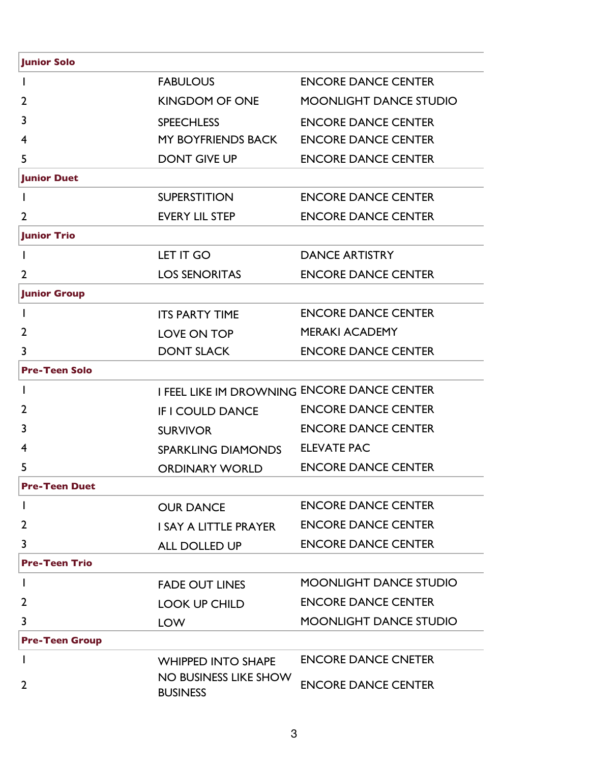| <b>Junior Solo</b>    |                                             |                               |
|-----------------------|---------------------------------------------|-------------------------------|
|                       | <b>FABULOUS</b>                             | <b>ENCORE DANCE CENTER</b>    |
| 2                     | <b>KINGDOM OF ONE</b>                       | <b>MOONLIGHT DANCE STUDIO</b> |
| 3                     | <b>SPEECHLESS</b>                           | <b>ENCORE DANCE CENTER</b>    |
| 4                     | MY BOYFRIENDS BACK                          | <b>ENCORE DANCE CENTER</b>    |
| 5                     | <b>DONT GIVE UP</b>                         | <b>ENCORE DANCE CENTER</b>    |
| <b>Junior Duet</b>    |                                             |                               |
|                       | <b>SUPERSTITION</b>                         | <b>ENCORE DANCE CENTER</b>    |
| $\overline{2}$        | <b>EVERY LIL STEP</b>                       | <b>ENCORE DANCE CENTER</b>    |
| <b>Junior Trio</b>    |                                             |                               |
|                       | LET IT GO                                   | <b>DANCE ARTISTRY</b>         |
| $\overline{2}$        | <b>LOS SENORITAS</b>                        | <b>ENCORE DANCE CENTER</b>    |
| <b>Junior Group</b>   |                                             |                               |
|                       | <b>ITS PARTY TIME</b>                       | <b>ENCORE DANCE CENTER</b>    |
| 2                     | LOVE ON TOP                                 | <b>MERAKI ACADEMY</b>         |
| 3                     | <b>DONT SLACK</b>                           | <b>ENCORE DANCE CENTER</b>    |
| <b>Pre-Teen Solo</b>  |                                             |                               |
| $\mathbf{I}$          | I FEEL LIKE IM DROWNING ENCORE DANCE CENTER |                               |
| 2                     | <b>IF I COULD DANCE</b>                     | <b>ENCORE DANCE CENTER</b>    |
| 3                     | <b>SURVIVOR</b>                             | <b>ENCORE DANCE CENTER</b>    |
| 4                     | <b>SPARKLING DIAMONDS</b>                   | <b>ELEVATE PAC</b>            |
| 5                     | <b>ORDINARY WORLD</b>                       | <b>ENCORE DANCE CENTER</b>    |
| <b>Pre-Teen Duet</b>  |                                             |                               |
|                       | <b>OUR DANCE</b>                            | <b>ENCORE DANCE CENTER</b>    |
| 2                     | I SAY A LITTLE PRAYER                       | <b>ENCORE DANCE CENTER</b>    |
| 3                     | ALL DOLLED UP                               | <b>ENCORE DANCE CENTER</b>    |
| <b>Pre-Teen Trio</b>  |                                             |                               |
| $\mathbf{I}$          | <b>FADE OUT LINES</b>                       | <b>MOONLIGHT DANCE STUDIO</b> |
| $\overline{2}$        | <b>LOOK UP CHILD</b>                        | <b>ENCORE DANCE CENTER</b>    |
| 3                     | <b>LOW</b>                                  | <b>MOONLIGHT DANCE STUDIO</b> |
| <b>Pre-Teen Group</b> |                                             |                               |
| <sup>1</sup>          | <b>WHIPPED INTO SHAPE</b>                   | <b>ENCORE DANCE CNETER</b>    |
| $\overline{2}$        | NO BUSINESS LIKE SHOW<br><b>BUSINESS</b>    | <b>ENCORE DANCE CENTER</b>    |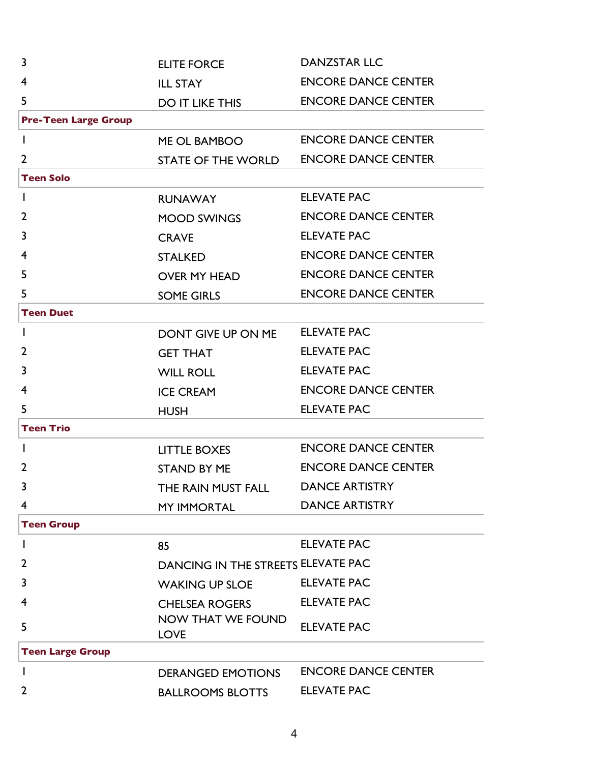| $\overline{3}$              | <b>ELITE FORCE</b>                      | <b>DANZSTAR LLC</b>        |
|-----------------------------|-----------------------------------------|----------------------------|
| 4                           | <b>ILL STAY</b>                         | <b>ENCORE DANCE CENTER</b> |
| 5                           | <b>DO IT LIKE THIS</b>                  | <b>ENCORE DANCE CENTER</b> |
| <b>Pre-Teen Large Group</b> |                                         |                            |
| $\mathbf{I}$                | ME OL BAMBOO                            | <b>ENCORE DANCE CENTER</b> |
| $\overline{2}$              | <b>STATE OF THE WORLD</b>               | <b>ENCORE DANCE CENTER</b> |
| <b>Teen Solo</b>            |                                         |                            |
| $\mathbf{I}$                | <b>RUNAWAY</b>                          | <b>ELEVATE PAC</b>         |
| $\overline{2}$              | <b>MOOD SWINGS</b>                      | <b>ENCORE DANCE CENTER</b> |
| 3                           | <b>CRAVE</b>                            | <b>ELEVATE PAC</b>         |
| 4                           | <b>STALKED</b>                          | <b>ENCORE DANCE CENTER</b> |
| 5                           | <b>OVER MY HEAD</b>                     | <b>ENCORE DANCE CENTER</b> |
| 5                           | <b>SOME GIRLS</b>                       | <b>ENCORE DANCE CENTER</b> |
| <b>Teen Duet</b>            |                                         |                            |
| $\mathbf{I}$                | DONT GIVE UP ON ME                      | <b>ELEVATE PAC</b>         |
| $\overline{2}$              | <b>GET THAT</b>                         | <b>ELEVATE PAC</b>         |
| 3                           | <b>WILL ROLL</b>                        | <b>ELEVATE PAC</b>         |
| 4                           | <b>ICE CREAM</b>                        | <b>ENCORE DANCE CENTER</b> |
| 5                           | <b>HUSH</b>                             | <b>ELEVATE PAC</b>         |
| <b>Teen Trio</b>            |                                         |                            |
| $\mathbf{I}$                | <b>LITTLE BOXES</b>                     | <b>ENCORE DANCE CENTER</b> |
| $\overline{2}$              | <b>STAND BY ME</b>                      | <b>ENCORE DANCE CENTER</b> |
| 3                           | THE RAIN MUST FALL                      | <b>DANCE ARTISTRY</b>      |
| $\overline{4}$              | <b>MY IMMORTAL</b>                      | <b>DANCE ARTISTRY</b>      |
| <b>Teen Group</b>           |                                         |                            |
| $\mathsf{l}$                | 85                                      | <b>ELEVATE PAC</b>         |
| $\overline{2}$              | DANCING IN THE STREETS ELEVATE PAC      |                            |
| 3                           | <b>WAKING UP SLOE</b>                   | <b>ELEVATE PAC</b>         |
| $\overline{4}$              | <b>CHELSEA ROGERS</b>                   | <b>ELEVATE PAC</b>         |
| 5                           | <b>NOW THAT WE FOUND</b><br><b>LOVE</b> | <b>ELEVATE PAC</b>         |
| <b>Teen Large Group</b>     |                                         |                            |
| $\mathsf{l}$                | <b>DERANGED EMOTIONS</b>                | <b>ENCORE DANCE CENTER</b> |
| $\overline{2}$              | <b>BALLROOMS BLOTTS</b>                 | <b>ELEVATE PAC</b>         |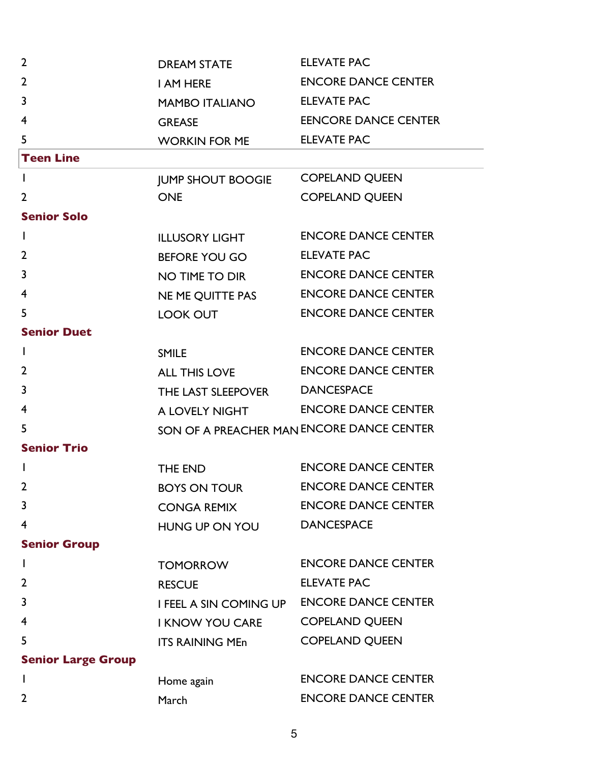| $\overline{2}$            | <b>DREAM STATE</b>                        | <b>ELEVATE PAC</b>          |
|---------------------------|-------------------------------------------|-----------------------------|
| $\overline{2}$            | I AM HERE                                 | <b>ENCORE DANCE CENTER</b>  |
| 3                         | <b>MAMBO ITALIANO</b>                     | <b>ELEVATE PAC</b>          |
| 4                         | <b>GREASE</b>                             | <b>EENCORE DANCE CENTER</b> |
| 5                         | <b>WORKIN FOR ME</b>                      | <b>ELEVATE PAC</b>          |
| <b>Teen Line</b>          |                                           |                             |
| $\mathbf{I}$              | <b>JUMP SHOUT BOOGIE</b>                  | <b>COPELAND QUEEN</b>       |
| $\overline{2}$            | <b>ONE</b>                                | <b>COPELAND QUEEN</b>       |
| <b>Senior Solo</b>        |                                           |                             |
| L                         | <b>ILLUSORY LIGHT</b>                     | <b>ENCORE DANCE CENTER</b>  |
| $\overline{2}$            | <b>BEFORE YOU GO</b>                      | <b>ELEVATE PAC</b>          |
| 3                         | NO TIME TO DIR                            | <b>ENCORE DANCE CENTER</b>  |
| 4                         | NE ME QUITTE PAS                          | <b>ENCORE DANCE CENTER</b>  |
| 5                         | <b>LOOK OUT</b>                           | <b>ENCORE DANCE CENTER</b>  |
| <b>Senior Duet</b>        |                                           |                             |
| L                         | <b>SMILE</b>                              | <b>ENCORE DANCE CENTER</b>  |
| $\overline{2}$            | <b>ALL THIS LOVE</b>                      | <b>ENCORE DANCE CENTER</b>  |
| 3                         | THE LAST SLEEPOVER                        | <b>DANCESPACE</b>           |
| 4                         | A LOVELY NIGHT                            | <b>ENCORE DANCE CENTER</b>  |
| 5                         | SON OF A PREACHER MAN ENCORE DANCE CENTER |                             |
| <b>Senior Trio</b>        |                                           |                             |
|                           | THE END                                   | <b>ENCORE DANCE CENTER</b>  |
| 2                         | <b>BOYS ON TOUR</b>                       | <b>ENCORE DANCE CENTER</b>  |
| 3                         | <b>CONGA REMIX</b>                        | <b>ENCORE DANCE CENTER</b>  |
| $\overline{4}$            | HUNG UP ON YOU                            | <b>DANCESPACE</b>           |
| <b>Senior Group</b>       |                                           |                             |
|                           | <b>TOMORROW</b>                           | <b>ENCORE DANCE CENTER</b>  |
| $\overline{2}$            | <b>RESCUE</b>                             | <b>ELEVATE PAC</b>          |
| 3                         | I FEEL A SIN COMING UP                    | <b>ENCORE DANCE CENTER</b>  |
| 4                         | <b>I KNOW YOU CARE</b>                    | <b>COPELAND QUEEN</b>       |
| 5                         | <b>ITS RAINING MEn</b>                    | <b>COPELAND QUEEN</b>       |
| <b>Senior Large Group</b> |                                           |                             |
|                           | Home again                                | <b>ENCORE DANCE CENTER</b>  |
| $\overline{2}$            | March                                     | <b>ENCORE DANCE CENTER</b>  |
|                           |                                           |                             |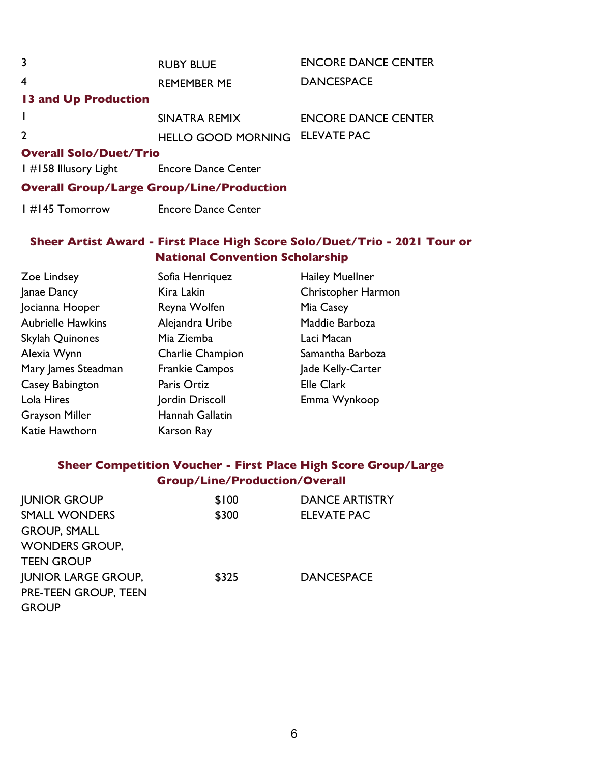| 3                                         | <b>RUBY BLUE</b>                                 | <b>ENCORE DANCE CENTER</b> |
|-------------------------------------------|--------------------------------------------------|----------------------------|
| 4                                         | <b>REMEMBER ME</b>                               | <b>DANCESPACE</b>          |
| 13 and Up Production                      |                                                  |                            |
|                                           | SINATRA REMIX                                    | <b>ENCORE DANCE CENTER</b> |
| $\overline{2}$                            | HELLO GOOD MORNING ELEVATE PAC                   |                            |
| <b>Overall Solo/Duet/Trio</b>             |                                                  |                            |
| 1 #158 Illusory Light Encore Dance Center |                                                  |                            |
|                                           | <b>Overall Group/Large Group/Line/Production</b> |                            |
| I #145 Tomorrow                           | <b>Encore Dance Center</b>                       |                            |

## **Sheer Artist Award - First Place High Score Solo/Duet/Trio - 2021 Tour or National Convention Scholarship**

| Zoe Lindsey              | Sofia Henriquez       | <b>Hailey Muellner</b> |
|--------------------------|-----------------------|------------------------|
| Janae Dancy              | Kira Lakin            | Christopher Harmon     |
| Jocianna Hooper          | Reyna Wolfen          | Mia Casey              |
| <b>Aubrielle Hawkins</b> | Alejandra Uribe       | Maddie Barboza         |
| Skylah Quinones          | Mia Ziemba            | Laci Macan             |
| Alexia Wynn              | Charlie Champion      | Samantha Barboza       |
| Mary James Steadman      | <b>Frankie Campos</b> | Jade Kelly-Carter      |
| Casey Babington          | Paris Ortiz           | <b>Elle Clark</b>      |
| Lola Hires               | Jordin Driscoll       | Emma Wynkoop           |
| <b>Grayson Miller</b>    | Hannah Gallatin       |                        |
| Katie Hawthorn           | Karson Ray            |                        |

# **Sheer Competition Voucher - First Place High Score Group/Large Group/Line/Production/Overall**

| <b>JUNIOR GROUP</b>        | \$100 | <b>DANCE ARTISTRY</b> |
|----------------------------|-------|-----------------------|
| <b>SMALL WONDERS</b>       | \$300 | <b>ELEVATE PAC</b>    |
| <b>GROUP, SMALL</b>        |       |                       |
| <b>WONDERS GROUP,</b>      |       |                       |
| <b>TEEN GROUP</b>          |       |                       |
| <b>JUNIOR LARGE GROUP,</b> | \$325 | <b>DANCESPACE</b>     |
| PRE-TEEN GROUP, TEEN       |       |                       |
| <b>GROUP</b>               |       |                       |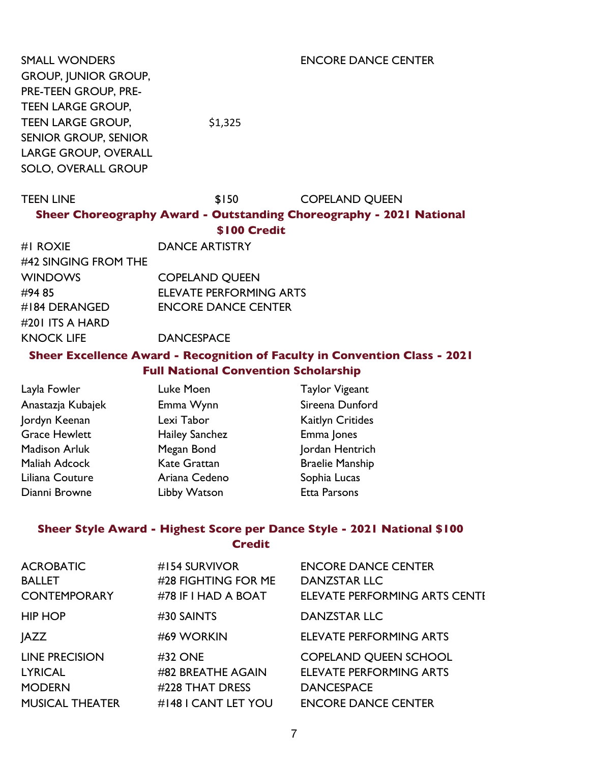SMALL WONDERS GROUP, JUNIOR GROUP, PRE-TEEN GROUP, PRE-TEEN LARGE GROUP, TEEN LARGE GROUP, SENIOR GROUP, SENIOR LARGE GROUP, OVERALL SOLO, OVERALL GROUP

\$1,325

ENCORE DANCE CENTER

TEEN LINE \$150 COPELAND QUEEN **Sheer Choreography Award - Outstanding Choreography - 2021 National \$100 Credit**

| #I ROXIE             | <b>DANCE ARTISTRY</b>          |
|----------------------|--------------------------------|
| #42 SINGING FROM THE |                                |
| <b>WINDOWS</b>       | <b>COPELAND OUEEN</b>          |
| #94 85               | <b>ELEVATE PERFORMING ARTS</b> |
| #184 DERANGED        | <b>ENCORE DANCE CENTER</b>     |
| #201 ITS A HARD      |                                |
| <b>KNOCK LIFE</b>    | <b>DANCESPACE</b>              |

#### **Sheer Excellence Award - Recognition of Faculty in Convention Class - 2021 Full National Convention Scholarship**

| Layla Fowler         | Luke Moen             | <b>Taylor Vigeant</b>   |
|----------------------|-----------------------|-------------------------|
| Anastazja Kubajek    | Emma Wynn             | Sireena Dunford         |
| Jordyn Keenan        | Lexi Tabor            | <b>Kaitlyn Critides</b> |
| <b>Grace Hewlett</b> | <b>Hailey Sanchez</b> | Emma Jones              |
| <b>Madison Arluk</b> | Megan Bond            | Jordan Hentrich         |
| Maliah Adcock        | <b>Kate Grattan</b>   | <b>Braelie Manship</b>  |
| Liliana Couture      | Ariana Cedeno         | Sophia Lucas            |
| Dianni Browne        | Libby Watson          | <b>Etta Parsons</b>     |

### **Sheer Style Award - Highest Score per Dance Style - 2021 National \$100 Credit**

| <b>ACROBATIC</b><br><b>BALLET</b><br><b>CONTEMPORARY</b> | #154 SURVIVOR<br>#28 FIGHTING FOR ME<br>#78 IF I HAD A BOAT | <b>ENCORE DANCE CENTER</b><br><b>DANZSTAR LLC</b><br>ELEVATE PERFORMING ARTS CENTE |
|----------------------------------------------------------|-------------------------------------------------------------|------------------------------------------------------------------------------------|
| <b>HIP HOP</b>                                           | #30 SAINTS                                                  | <b>DANZSTAR LLC</b>                                                                |
| <b>JAZZ</b>                                              | #69 WORKIN                                                  | <b>ELEVATE PERFORMING ARTS</b>                                                     |
| <b>LINE PRECISION</b>                                    | #32 ONE                                                     | <b>COPELAND QUEEN SCHOOL</b>                                                       |
| <b>LYRICAL</b>                                           | #82 BREATHE AGAIN                                           | <b>ELEVATE PERFORMING ARTS</b>                                                     |
| <b>MODERN</b>                                            | #228 THAT DRESS                                             | <b>DANCESPACE</b>                                                                  |
| <b>MUSICAL THEATER</b>                                   | #148 I CANT LET YOU                                         | <b>ENCORE DANCE CENTER</b>                                                         |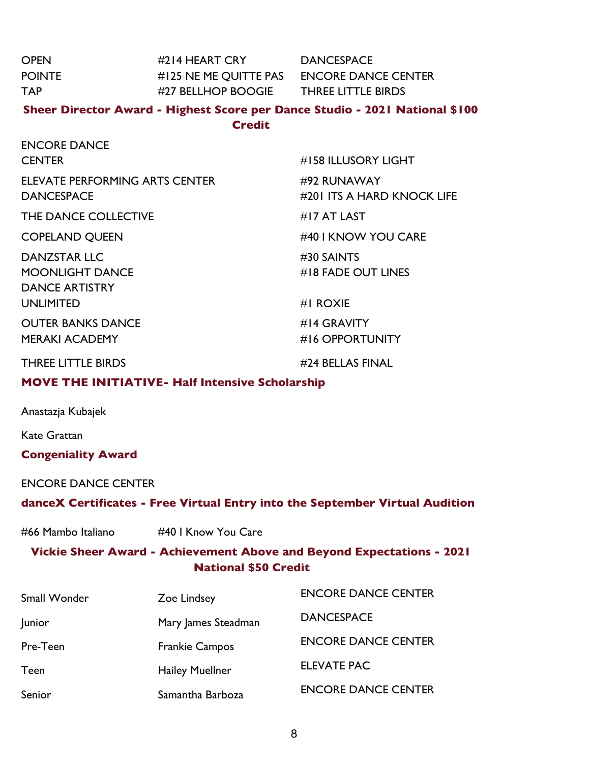| <b>OPEN</b>                    | #214 HEART CRY DANCESPACE                              |                                                                              |  |
|--------------------------------|--------------------------------------------------------|------------------------------------------------------------------------------|--|
| <b>POINTE</b>                  | #125 NE ME QUITTE PAS ENCORE DANCE CENTER              |                                                                              |  |
| <b>TAP</b>                     | #27 BELLHOP BOOGIE THREE LITTLE BIRDS                  |                                                                              |  |
|                                |                                                        | Sheer Director Award - Highest Score per Dance Studio - 2021 National \$100  |  |
|                                | <b>Credit</b>                                          |                                                                              |  |
| <b>ENCORE DANCE</b>            |                                                        |                                                                              |  |
| <b>CENTER</b>                  |                                                        | #158 ILLUSORY LIGHT                                                          |  |
| ELEVATE PERFORMING ARTS CENTER |                                                        | #92 RUNAWAY                                                                  |  |
| <b>DANCESPACE</b>              |                                                        | #201 ITS A HARD KNOCK LIFE                                                   |  |
| THE DANCE COLLECTIVE           |                                                        | #17 AT LAST                                                                  |  |
| <b>COPELAND QUEEN</b>          |                                                        | #40 I KNOW YOU CARE                                                          |  |
| <b>DANZSTAR LLC</b>            |                                                        | #30 SAINTS                                                                   |  |
| <b>MOONLIGHT DANCE</b>         |                                                        | #18 FADE OUT LINES                                                           |  |
| <b>DANCE ARTISTRY</b>          |                                                        |                                                                              |  |
| <b>UNLIMITED</b>               |                                                        | #I ROXIE                                                                     |  |
| <b>OUTER BANKS DANCE</b>       |                                                        | #14 GRAVITY                                                                  |  |
| <b>MERAKI ACADEMY</b>          |                                                        | #16 OPPORTUNITY                                                              |  |
| <b>THREE LITTLE BIRDS</b>      |                                                        | #24 BELLAS FINAL                                                             |  |
|                                | <b>MOVE THE INITIATIVE- Half Intensive Scholarship</b> |                                                                              |  |
| Anastazja Kubajek              |                                                        |                                                                              |  |
| <b>Kate Grattan</b>            |                                                        |                                                                              |  |
| <b>Congeniality Award</b>      |                                                        |                                                                              |  |
|                                |                                                        |                                                                              |  |
| <b>ENCORE DANCE CENTER</b>     |                                                        |                                                                              |  |
|                                |                                                        | danceX Certificates - Free Virtual Entry into the September Virtual Audition |  |
| #66 Mambo Italiano             | #40   Know You Care                                    |                                                                              |  |
|                                |                                                        | Vickie Sheer Award - Achievement Above and Beyond Expectations - 2021        |  |
| <b>National \$50 Credit</b>    |                                                        |                                                                              |  |
| Small Wonder                   | Zoe Lindsey                                            | <b>ENCORE DANCE CENTER</b>                                                   |  |
| Junior                         | Mary James Steadman                                    | <b>DANCESPACE</b>                                                            |  |
| Pre-Teen                       | <b>Frankie Campos</b>                                  | <b>ENCORE DANCE CENTER</b>                                                   |  |
| <b>Teen</b>                    | <b>Hailey Muellner</b>                                 | <b>ELEVATE PAC</b>                                                           |  |
| Senior                         | Samantha Barboza                                       | <b>ENCORE DANCE CENTER</b>                                                   |  |